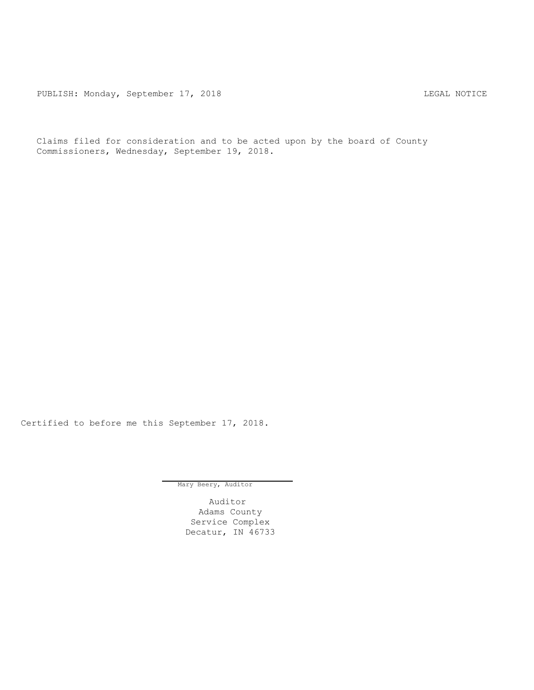PUBLISH: Monday, September 17, 2018 LEGAL NOTICE

Claims filed for consideration and to be acted upon by the board of County Commissioners, Wednesday, September 19, 2018.

Certified to before me this September 17, 2018.

Mary Beery, Auditor

Auditor Adams County Service Complex Decatur, IN 46733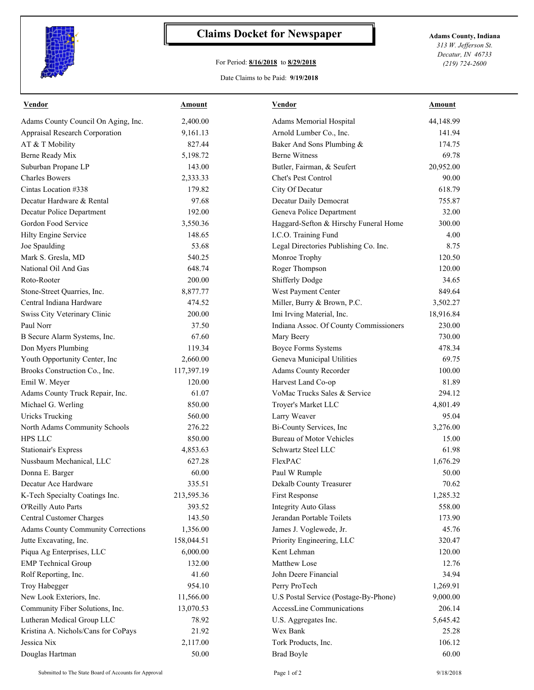

## **Claims Docket for Newspaper Adams County, Indiana**

## For Period: **8/16/2018** to **8/29/2018**

*313 W. Jefferson St. Decatur, IN 46733 (219) 724-2600*

## Date Claims to be Paid: **9/19/2018**

| <b>Vendor</b>                             | <b>Amount</b> | <b>Vendor</b>                          | <b>Amount</b> |
|-------------------------------------------|---------------|----------------------------------------|---------------|
| Adams County Council On Aging, Inc.       | 2,400.00      | Adams Memorial Hospital                | 44,148.99     |
| Appraisal Research Corporation            | 9,161.13      | Arnold Lumber Co., Inc.                | 141.94        |
| AT & T Mobility                           | 827.44        | Baker And Sons Plumbing &              | 174.75        |
| Berne Ready Mix                           | 5,198.72      | <b>Berne Witness</b>                   | 69.78         |
| Suburban Propane LP                       | 143.00        | Butler, Fairman, & Seufert             | 20,952.00     |
| <b>Charles Bowers</b>                     | 2,333.33      | Chet's Pest Control                    | 90.00         |
| Cintas Location #338                      | 179.82        | City Of Decatur                        | 618.79        |
| Decatur Hardware & Rental                 | 97.68         | Decatur Daily Democrat                 | 755.87        |
| Decatur Police Department                 | 192.00        | Geneva Police Department               | 32.00         |
| Gordon Food Service                       | 3,550.36      | Haggard-Sefton & Hirschy Funeral Home  | 300.00        |
| Hilty Engine Service                      | 148.65        | I.C.O. Training Fund                   | 4.00          |
| Joe Spaulding                             | 53.68         | Legal Directories Publishing Co. Inc.  | 8.75          |
| Mark S. Gresla, MD                        | 540.25        | Monroe Trophy                          | 120.50        |
| National Oil And Gas                      | 648.74        | Roger Thompson                         | 120.00        |
| Roto-Rooter                               | 200.00        | <b>Shifferly Dodge</b>                 | 34.65         |
| Stone-Street Quarries, Inc.               | 8,877.77      | West Payment Center                    | 849.64        |
| Central Indiana Hardware                  | 474.52        | Miller, Burry & Brown, P.C.            | 3,502.27      |
| Swiss City Veterinary Clinic              | 200.00        | Imi Irving Material, Inc.              | 18,916.84     |
| Paul Norr                                 | 37.50         | Indiana Assoc. Of County Commissioners | 230.00        |
| B Secure Alarm Systems, Inc.              | 67.60         | Mary Beery                             | 730.00        |
| Don Myers Plumbing                        | 119.34        | <b>Boyce Forms Systems</b>             | 478.34        |
| Youth Opportunity Center, Inc             | 2,660.00      | Geneva Municipal Utilities             | 69.75         |
| Brooks Construction Co., Inc.             | 117,397.19    | Adams County Recorder                  | 100.00        |
| Emil W. Meyer                             | 120.00        | Harvest Land Co-op                     | 81.89         |
| Adams County Truck Repair, Inc.           | 61.07         | VoMac Trucks Sales & Service           | 294.12        |
| Michael G. Werling                        | 850.00        | Troyer's Market LLC                    | 4,801.49      |
| <b>Uricks Trucking</b>                    | 560.00        | Larry Weaver                           | 95.04         |
| North Adams Community Schools             | 276.22        | Bi-County Services, Inc                | 3,276.00      |
| HPS LLC                                   | 850.00        | <b>Bureau of Motor Vehicles</b>        | 15.00         |
| <b>Stationair's Express</b>               | 4,853.63      | Schwartz Steel LLC                     | 61.98         |
| Nussbaum Mechanical, LLC                  | 627.28        | FlexPAC                                | 1,676.29      |
| Donna E. Barger                           | 60.00         | Paul W Rumple                          | 50.00         |
| Decatur Ace Hardware                      | 335.51        | Dekalb County Treasurer                | 70.62         |
| K-Tech Specialty Coatings Inc.            | 213,595.36    | First Response                         | 1,285.32      |
| O'Reilly Auto Parts                       | 393.52        | <b>Integrity Auto Glass</b>            | 558.00        |
| <b>Central Customer Charges</b>           | 143.50        | Jerandan Portable Toilets              | 173.90        |
| <b>Adams County Community Corrections</b> | 1,356.00      | James J. Voglewede, Jr.                | 45.76         |
| Jutte Excavating, Inc.                    | 158,044.51    | Priority Engineering, LLC              | 320.47        |
| Piqua Ag Enterprises, LLC                 | 6,000.00      | Kent Lehman                            | 120.00        |
|                                           | 132.00        | Matthew Lose                           | 12.76         |
| <b>EMP</b> Technical Group                |               |                                        |               |
| Rolf Reporting, Inc.                      | 41.60         | John Deere Financial                   | 34.94         |
| Troy Habegger                             | 954.10        | Perry ProTech                          | 1,269.91      |
| New Look Exteriors, Inc.                  | 11,566.00     | U.S Postal Service (Postage-By-Phone)  | 9,000.00      |
| Community Fiber Solutions, Inc.           | 13,070.53     | AccessLine Communications              | 206.14        |
| Lutheran Medical Group LLC                | 78.92         | U.S. Aggregates Inc.                   | 5,645.42      |
| Kristina A. Nichols/Cans for CoPays       | 21.92         | Wex Bank                               | 25.28         |
| Jessica Nix                               | 2,117.00      | Tork Products, Inc.                    | 106.12        |
| Douglas Hartman                           | 50.00         | <b>Brad Boyle</b>                      | 60.00         |